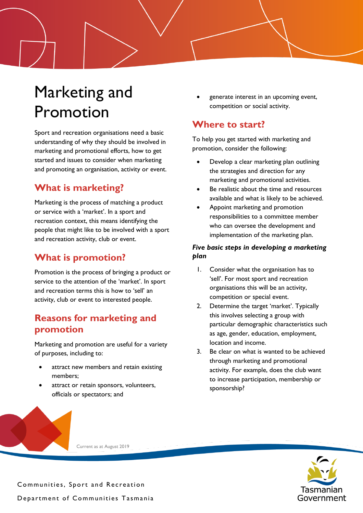# Marketing and Promotion

Sport and recreation organisations need a basic understanding of why they should be involved in marketing and promotional efforts, how to get started and issues to consider when marketing and promoting an organisation, activity or event.

## **What is marketing?**

Marketing is the process of matching a product or service with a 'market'. In a sport and recreation context, this means identifying the people that might like to be involved with a sport and recreation activity, club or event.

## **What is promotion?**

Promotion is the process of bringing a product or service to the attention of the 'market'. In sport and recreation terms this is how to 'sell' an activity, club or event to interested people.

## **Reasons for marketing and promotion**

Marketing and promotion are useful for a variety of purposes, including to:

- attract new members and retain existing members;
- attract or retain sponsors, volunteers, officials or spectators; and

• generate interest in an upcoming event, competition or social activity.

## **Where to start?**

To help you get started with marketing and promotion, consider the following:

- Develop a clear marketing plan outlining the strategies and direction for any marketing and promotional activities.
- Be realistic about the time and resources available and what is likely to be achieved.
- Appoint marketing and promotion responsibilities to a committee member who can oversee the development and implementation of the marketing plan.

### *Five basic steps in developing a marketing plan*

- 1. Consider what the organisation has to 'sell'. For most sport and recreation organisations this will be an activity, competition or special event.
- 2. Determine the target 'market'. Typically this involves selecting a group with particular demographic characteristics such as age, gender, education, employment, location and income.
- 3. Be clear on what is wanted to be achieved through marketing and promotional activity. For example, does the club want to increase participation, membership or sponsorship?



Current as at August 2019

Communities, Sport and Recreation Department of Communities Tasmania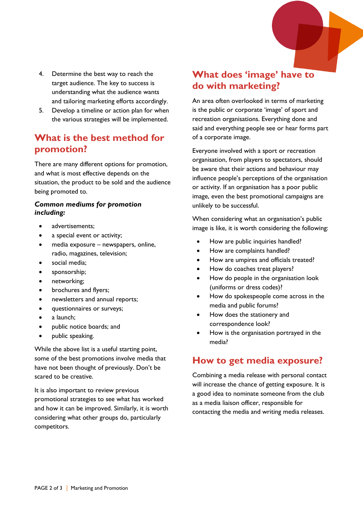- 4. Determine the best way to reach the target audience. The key to success is understanding what the audience wants and tailoring marketing efforts accordingly.
- 5. Develop a timeline or action plan for when the various strategies will be implemented.

## **What is the best method for promotion?**

There are many different options for promotion, and what is most effective depends on the situation, the product to be sold and the audience being promoted to.

#### *Common mediums for promotion including:*

- advertisements;
- a special event or activity;
- media exposure newspapers, online, radio, magazines, television;
- social media;
- sponsorship;
- networking;
- brochures and flyers;
- newsletters and annual reports;
- questionnaires or surveys;
- a launch:
- public notice boards; and
- public speaking.

While the above list is a useful starting point, some of the best promotions involve media that have not been thought of previously. Don't be scared to be creative.

It is also important to review previous promotional strategies to see what has worked and how it can be improved. Similarly, it is worth considering what other groups do, particularly competitors.

## **What does 'image' have to do with marketing?**

An area often overlooked in terms of marketing is the public or corporate 'image' of sport and recreation organisations. Everything done and said and everything people see or hear forms part of a corporate image.

Everyone involved with a sport or recreation organisation, from players to spectators, should be aware that their actions and behaviour may influence people's perceptions of the organisation or activity. If an organisation has a poor public image, even the best promotional campaigns are unlikely to be successful.

When considering what an organisation's public image is like, it is worth considering the following:

- How are public inquiries handled?
- How are complaints handled?
- How are umpires and officials treated?
- How do coaches treat players?
- How do people in the organisation look (uniforms or dress codes)?
- How do spokespeople come across in the media and public forums?
- How does the stationery and correspondence look?
- How is the organisation portrayed in the media?

## **How to get media exposure?**

Combining a media release with personal contact will increase the chance of getting exposure. It is a good idea to nominate someone from the club as a media liaison officer, responsible for contacting the media and writing media releases.